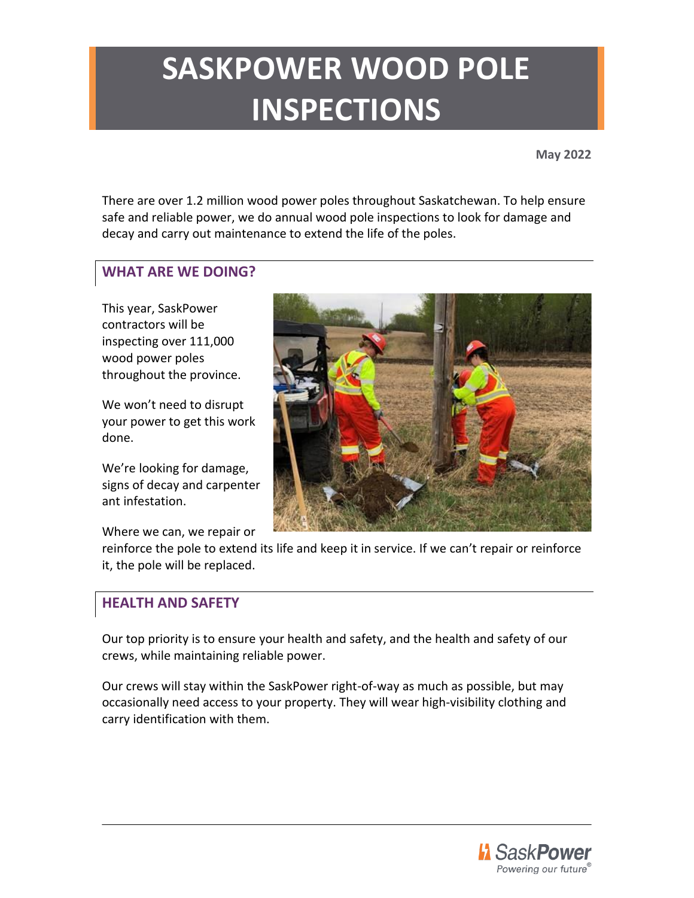# **SASKPOWER WOOD POLE INSPECTIONS**

**May 2022**

There are over 1.2 million wood power poles throughout Saskatchewan. To help ensure safe and reliable power, we do annual wood pole inspections to look for damage and decay and carry out maintenance to extend the life of the poles.

#### **WHAT ARE WE DOING?**

This year, SaskPower contractors will be inspecting over 111,000 wood power poles throughout the province.

We won't need to disrupt your power to get this work done.

We're looking for damage, signs of decay and carpenter ant infestation.

Where we can, we repair or



reinforce the pole to extend its life and keep it in service. If we can't repair or reinforce it, the pole will be replaced.

### **HEALTH AND SAFETY**

Our top priority is to ensure your health and safety, and the health and safety of our crews, while maintaining reliable power.

Our crews will stay within the SaskPower right-of-way as much as possible, but may occasionally need access to your property. They will wear high-visibility clothing and carry identification with them.